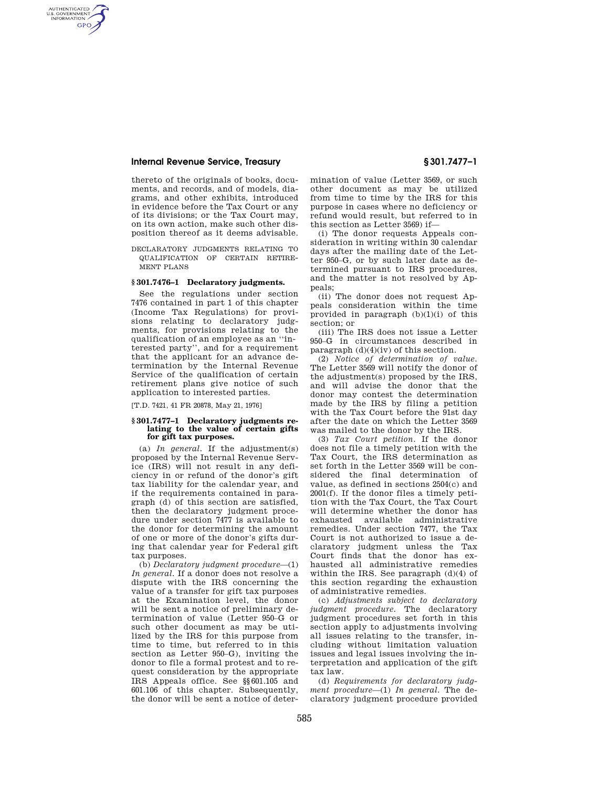### **Internal Revenue Service, Treasury § 301.7477–1**

AUTHENTICATED<br>U.S. GOVERNMENT<br>INFORMATION **GPO** 

> thereto of the originals of books, documents, and records, and of models, diagrams, and other exhibits, introduced in evidence before the Tax Court or any of its divisions; or the Tax Court may, on its own action, make such other disposition thereof as it deems advisable.

DECLARATORY JUDGMENTS RELATING TO QUALIFICATION OF CERTAIN RETIRE-MENT PLANS

### **§ 301.7476–1 Declaratory judgments.**

See the regulations under section 7476 contained in part 1 of this chapter (Income Tax Regulations) for provisions relating to declaratory judgments, for provisions relating to the qualification of an employee as an ''interested party'', and for a requirement that the applicant for an advance determination by the Internal Revenue Service of the qualification of certain retirement plans give notice of such application to interested parties.

[T.D. 7421, 41 FR 20878, May 21, 1976]

#### **§ 301.7477–1 Declaratory judgments relating to the value of certain gifts for gift tax purposes.**

(a) *In general.* If the adjustment(s) proposed by the Internal Revenue Service (IRS) will not result in any deficiency in or refund of the donor's gift tax liability for the calendar year, and if the requirements contained in paragraph (d) of this section are satisfied, then the declaratory judgment procedure under section 7477 is available to the donor for determining the amount of one or more of the donor's gifts during that calendar year for Federal gift tax purposes.

(b) *Declaratory judgment procedure*—(1) *In general.* If a donor does not resolve a dispute with the IRS concerning the value of a transfer for gift tax purposes at the Examination level, the donor will be sent a notice of preliminary determination of value (Letter 950–G or such other document as may be utilized by the IRS for this purpose from time to time, but referred to in this section as Letter 950–G), inviting the donor to file a formal protest and to request consideration by the appropriate IRS Appeals office. See §§601.105 and 601.106 of this chapter. Subsequently, the donor will be sent a notice of determination of value (Letter 3569, or such other document as may be utilized from time to time by the IRS for this purpose in cases where no deficiency or refund would result, but referred to in this section as Letter 3569) if—

(i) The donor requests Appeals consideration in writing within 30 calendar days after the mailing date of the Letter 950–G, or by such later date as determined pursuant to IRS procedures, and the matter is not resolved by Appeals;

(ii) The donor does not request Appeals consideration within the time provided in paragraph  $(b)(1)(i)$  of this section; or

(iii) The IRS does not issue a Letter 950–G in circumstances described in paragraph  $(d)(4)(iv)$  of this section.

(2) *Notice of determination of value.*  The Letter 3569 will notify the donor of the adjustment(s) proposed by the IRS, and will advise the donor that the donor may contest the determination made by the IRS by filing a petition with the Tax Court before the 91st day after the date on which the Letter 3569 was mailed to the donor by the IRS.

(3) *Tax Court petition.* If the donor does not file a timely petition with the Tax Court, the IRS determination as set forth in the Letter 3569 will be considered the final determination of value, as defined in sections 2504(c) and 2001(f). If the donor files a timely petition with the Tax Court, the Tax Court will determine whether the donor has exhausted available administrative remedies. Under section 7477, the Tax Court is not authorized to issue a declaratory judgment unless the Tax Court finds that the donor has exhausted all administrative remedies within the IRS. See paragraph (d)(4) of this section regarding the exhaustion of administrative remedies.

(c) *Adjustments subject to declaratory judgment procedure.* The declaratory judgment procedures set forth in this section apply to adjustments involving all issues relating to the transfer, including without limitation valuation issues and legal issues involving the interpretation and application of the gift tax law.

(d) *Requirements for declaratory judgment procedure*—(1) *In general.* The declaratory judgment procedure provided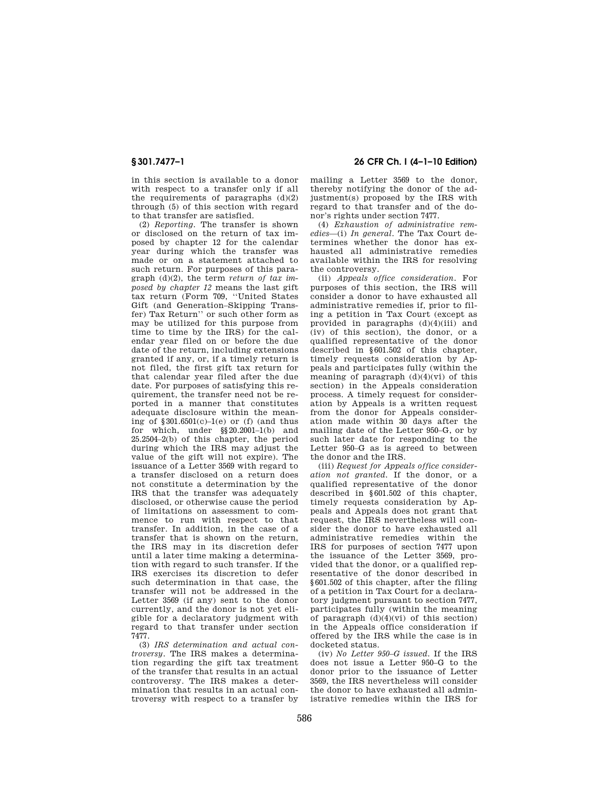in this section is available to a donor with respect to a transfer only if all the requirements of paragraphs  $(d)(2)$ through (5) of this section with regard to that transfer are satisfied.

(2) *Reporting.* The transfer is shown or disclosed on the return of tax imposed by chapter 12 for the calendar year during which the transfer was made or on a statement attached to such return. For purposes of this paragraph (d)(2), the term *return of tax imposed by chapter 12* means the last gift tax return (Form 709, ''United States Gift (and Generation–Skipping Transfer) Tax Return'' or such other form as may be utilized for this purpose from time to time by the IRS) for the calendar year filed on or before the due date of the return, including extensions granted if any, or, if a timely return is not filed, the first gift tax return for that calendar year filed after the due date. For purposes of satisfying this requirement, the transfer need not be reported in a manner that constitutes adequate disclosure within the meaning of  $$301.6501(c)-1(e)$  or (f) (and thus for which, under §§20.2001–1(b) and 25.2504–2(b) of this chapter, the period during which the IRS may adjust the value of the gift will not expire). The issuance of a Letter 3569 with regard to a transfer disclosed on a return does not constitute a determination by the IRS that the transfer was adequately disclosed, or otherwise cause the period of limitations on assessment to commence to run with respect to that transfer. In addition, in the case of a transfer that is shown on the return, the IRS may in its discretion defer until a later time making a determination with regard to such transfer. If the IRS exercises its discretion to defer such determination in that case, the transfer will not be addressed in the Letter 3569 (if any) sent to the donor currently, and the donor is not yet eligible for a declaratory judgment with regard to that transfer under section 7477.

(3) *IRS determination and actual controversy.* The IRS makes a determination regarding the gift tax treatment of the transfer that results in an actual controversy. The IRS makes a determination that results in an actual controversy with respect to a transfer by

# **§ 301.7477–1 26 CFR Ch. I (4–1–10 Edition)**

mailing a Letter 3569 to the donor, thereby notifying the donor of the adjustment(s) proposed by the IRS with regard to that transfer and of the donor's rights under section 7477.

(4) *Exhaustion of administrative remedies*—(i) *In general.* The Tax Court determines whether the donor has exhausted all administrative remedies available within the IRS for resolving the controversy.

(ii) *Appeals office consideration.* For purposes of this section, the IRS will consider a donor to have exhausted all administrative remedies if, prior to filing a petition in Tax Court (except as provided in paragraphs (d)(4)(iii) and (iv) of this section), the donor, or a qualified representative of the donor described in §601.502 of this chapter, timely requests consideration by Appeals and participates fully (within the meaning of paragraph  $(d)(4)(vi)$  of this section) in the Appeals consideration process. A timely request for consideration by Appeals is a written request from the donor for Appeals consideration made within 30 days after the mailing date of the Letter 950–G, or by such later date for responding to the Letter 950–G as is agreed to between the donor and the IRS.

(iii) *Request for Appeals office consideration not granted.* If the donor, or a qualified representative of the donor described in §601.502 of this chapter, timely requests consideration by Appeals and Appeals does not grant that request, the IRS nevertheless will consider the donor to have exhausted all administrative remedies within the IRS for purposes of section 7477 upon the issuance of the Letter 3569, provided that the donor, or a qualified representative of the donor described in §601.502 of this chapter, after the filing of a petition in Tax Court for a declaratory judgment pursuant to section 7477, participates fully (within the meaning of paragraph  $(d)(4)(vi)$  of this section) in the Appeals office consideration if offered by the IRS while the case is in docketed status.

(iv) *No Letter 950–G issued.* If the IRS does not issue a Letter 950–G to the donor prior to the issuance of Letter 3569, the IRS nevertheless will consider the donor to have exhausted all administrative remedies within the IRS for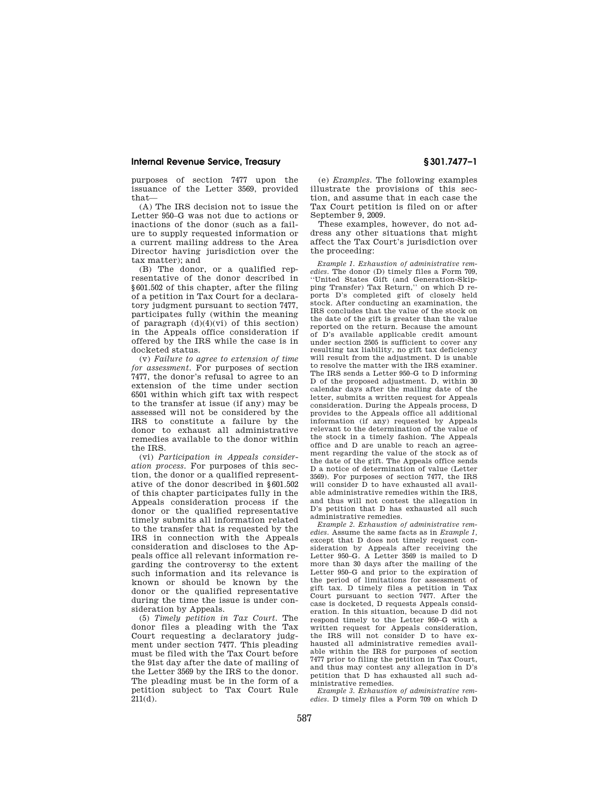### **Internal Revenue Service, Treasury § 301.7477–1**

purposes of section 7477 upon the issuance of the Letter 3569, provided that—

(A) The IRS decision not to issue the Letter 950–G was not due to actions or inactions of the donor (such as a failure to supply requested information or a current mailing address to the Area Director having jurisdiction over the tax matter); and

(B) The donor, or a qualified representative of the donor described in §601.502 of this chapter, after the filing of a petition in Tax Court for a declaratory judgment pursuant to section 7477, participates fully (within the meaning of paragraph  $(d)(4)(vi)$  of this section) in the Appeals office consideration if offered by the IRS while the case is in docketed status.

(v) *Failure to agree to extension of time for assessment.* For purposes of section 7477, the donor's refusal to agree to an extension of the time under section 6501 within which gift tax with respect to the transfer at issue (if any) may be assessed will not be considered by the IRS to constitute a failure by the donor to exhaust all administrative remedies available to the donor within the IRS.

(vi) *Participation in Appeals consideration process.* For purposes of this section, the donor or a qualified representative of the donor described in §601.502 of this chapter participates fully in the Appeals consideration process if the donor or the qualified representative timely submits all information related to the transfer that is requested by the IRS in connection with the Appeals consideration and discloses to the Appeals office all relevant information regarding the controversy to the extent such information and its relevance is known or should be known by the donor or the qualified representative during the time the issue is under consideration by Appeals.

(5) *Timely petition in Tax Court.* The donor files a pleading with the Tax Court requesting a declaratory judgment under section 7477. This pleading must be filed with the Tax Court before the 91st day after the date of mailing of the Letter 3569 by the IRS to the donor. The pleading must be in the form of a petition subject to Tax Court Rule 211(d).

(e) *Examples.* The following examples illustrate the provisions of this section, and assume that in each case the Tax Court petition is filed on or after September 9, 2009.

These examples, however, do not address any other situations that might affect the Tax Court's jurisdiction over the proceeding:

*Example 1. Exhaustion of administrative remedies.* The donor (D) timely files a Form 709, ''United States Gift (and Generation-Skipping Transfer) Tax Return,'' on which D reports D's completed gift of closely held stock. After conducting an examination, the IRS concludes that the value of the stock on the date of the gift is greater than the value reported on the return. Because the amount of D's available applicable credit amount under section 2505 is sufficient to cover any resulting tax liability, no gift tax deficiency will result from the adjustment. D is unable to resolve the matter with the IRS examiner. The IRS sends a Letter 950–G to D informing D of the proposed adjustment. D, within 30 calendar days after the mailing date of the letter, submits a written request for Appeals consideration. During the Appeals process, D provides to the Appeals office all additional information (if any) requested by Appeals relevant to the determination of the value of the stock in a timely fashion. The Appeals office and D are unable to reach an agreement regarding the value of the stock as of the date of the gift. The Appeals office sends D a notice of determination of value (Letter 3569). For purposes of section 7477, the IRS will consider D to have exhausted all available administrative remedies within the IRS, and thus will not contest the allegation in D's petition that D has exhausted all such administrative remedies.

*Example 2. Exhaustion of administrative remedies.* Assume the same facts as in *Example 1,*  except that D does not timely request consideration by Appeals after receiving the Letter 950–G. A Letter 3569 is mailed to D more than 30 days after the mailing of the Letter 950–G and prior to the expiration of the period of limitations for assessment of gift tax. D timely files a petition in Tax Court pursuant to section 7477. After the case is docketed, D requests Appeals consideration. In this situation, because D did not respond timely to the Letter 950–G with a written request for Appeals consideration, the IRS will not consider D to have exhausted all administrative remedies available within the IRS for purposes of section 7477 prior to filing the petition in Tax Court, and thus may contest any allegation in D's petition that D has exhausted all such administrative remedies.

*Example 3. Exhaustion of administrative remedies.* D timely files a Form 709 on which D